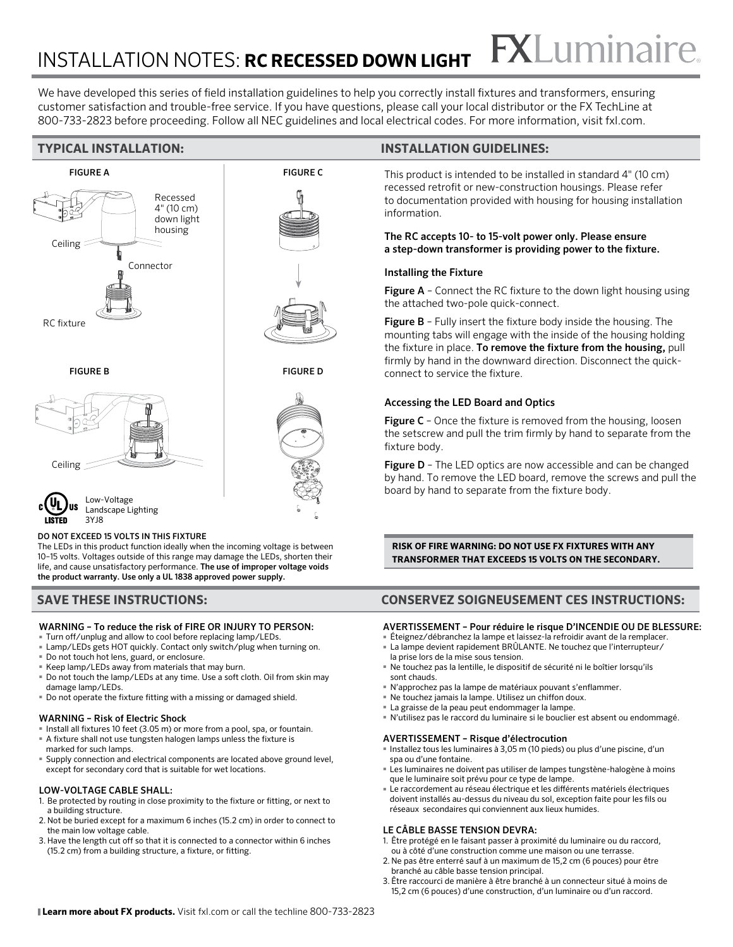## **FXLuminaire** INSTALLATION NOTES: **RC RECESSED DOWN LIGHT**

We have developed this series of field installation guidelines to help you correctly install fixtures and transformers, ensuring customer satisfaction and trouble-free service. If you have questions, please call your local distributor or the FX TechLine at 800-733-2823 before proceeding. Follow all NEC guidelines and local electrical codes. For more information, visit fxl.com.



#### DO NOT EXCEED 15 VOLTS IN THIS FIXTURE

The LEDs in this product function ideally when the incoming voltage is between 10–15 volts. Voltages outside of this range may damage the LEDs, shorten their life, and cause unsatisfactory performance. The use of improper voltage voids the product warranty. Use only a UL 1838 approved power supply.

#### WARNING – To reduce the risk of FIRE OR INJURY TO PERSON:

- Turn off/unplug and allow to cool before replacing lamp/LEDs.
- Lamp/LEDs gets HOT quickly. Contact only switch/plug when turning on.
- Do not touch hot lens, guard, or enclosure.
- Keep lamp/LEDs away from materials that may burn.
- Do not touch the lamp/LEDs at any time. Use a soft cloth. Oil from skin may damage lamp/LEDs.
- Do not operate the fixture fitting with a missing or damaged shield.

#### WARNING – Risk of Electric Shock

- Install all fixtures 10 feet (3.05 m) or more from a pool, spa, or fountain. ■ A fixture shall not use tungsten halogen lamps unless the fixture is
- marked for such lamps.
- Supply connection and electrical components are located above ground level, except for secondary cord that is suitable for wet locations.

#### LOW-VOLTAGE CABLE SHALL:

- 1. Be protected by routing in close proximity to the fixture or fitting, or next to a building structure.
- 2. Not be buried except for a maximum 6 inches (15.2 cm) in order to connect to the main low voltage cable.
- 3. Have the length cut off so that it is connected to a connector within 6 inches (15.2 cm) from a building structure, a fixture, or fitting.

#### **TYPICAL INSTALLATION: INSTALLATION GUIDELINES:**

This product is intended to be installed in standard 4" (10 cm) recessed retrofit or new-construction housings. Please refer to documentation provided with housing for housing installation information.

#### The RC accepts 10- to 15-volt power only. Please ensure a step-down transformer is providing power to the fixture.

#### Installing the Fixture

Figure A - Connect the RC fixture to the down light housing using the attached two-pole quick-connect.

Figure B - Fully insert the fixture body inside the housing. The mounting tabs will engage with the inside of the housing holding the fixture in place. To remove the fixture from the housing, pull firmly by hand in the downward direction. Disconnect the quickconnect to service the fixture.

#### Accessing the LED Board and Optics

Figure C - Once the fixture is removed from the housing, loosen the setscrew and pull the trim firmly by hand to separate from the fixture body.

**Figure D** - The LED optics are now accessible and can be changed by hand. To remove the LED board, remove the screws and pull the board by hand to separate from the fixture body.

**RISK OF FIRE WARNING: DO NOT USE FX FIXTURES WITH ANY TRANSFORMER THAT EXCEEDS 15 VOLTS ON THE SECONDARY.** 

#### **SAVE THESE INSTRUCTIONS: CONSERVEZ SOIGNEUSEMENT CES INSTRUCTIONS:**

#### AVERTISSEMENT – Pour réduire le risque D'INCENDIE OU DE BLESSURE:

- Éteignez/débranchez la lampe et laissez-la refroidir avant de la remplacer. ■ La lampe devient rapidement BRÛLANTE. Ne touchez que l'interrupteur/
- la prise lors de la mise sous tension.
- Ne touchez pas la lentille, le dispositif de sécurité ni le boîtier lorsqu'ils sont chauds.
- N'approchez pas la lampe de matériaux pouvant s'enflammer.
- Ne touchez jamais la lampe. Utilisez un chiffon doux.
- La graisse de la peau peut endommager la lampe.
- N'utilisez pas le raccord du luminaire si le bouclier est absent ou endommagé.

#### AVERTISSEMENT – Risque d'électrocution

- Installez tous les luminaires à 3,05 m (10 pieds) ou plus d'une piscine, d'un spa ou d'une fontaine.
- Les luminaires ne doivent pas utiliser de lampes tungstène-halogène à moins que le luminaire soit prévu pour ce type de lampe.
- Le raccordement au réseau électrique et les différents matériels électriques doivent installés au-dessus du niveau du sol, exception faite pour les fils ou réseaux secondaires qui conviennent aux lieux humides.

#### LE CÂBLE BASSE TENSION DEVRA:

- 1. Être protégé en le faisant passer à proximité du luminaire ou du raccord, ou à côté d'une construction comme une maison ou une terrasse.
- 2. Ne pas être enterré sauf à un maximum de 15,2 cm (6 pouces) pour être branché au câble basse tension principal.
- 3. Être raccourci de manière à être branché à un connecteur situé à moins de 15,2 cm (6 pouces) d'une construction, d'un luminaire ou d'un raccord.